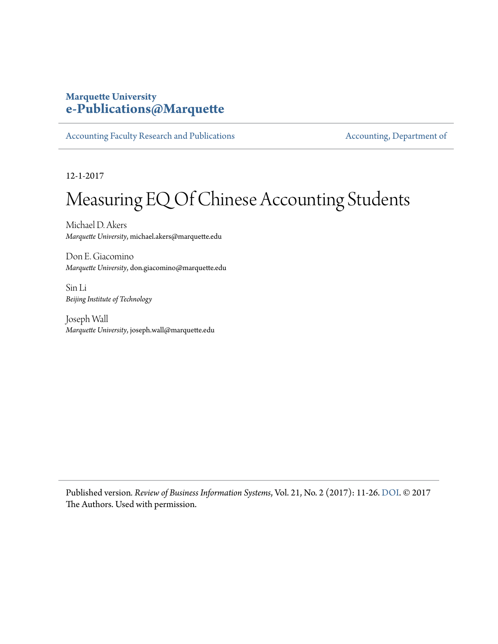# **Marquette University [e-Publications@Marquette](https://epublications.marquette.edu)**

[Accounting Faculty Research and Publications](https://epublications.marquette.edu/account_fac) **[Accounting, Department of](https://epublications.marquette.edu/account)** 

12-1-2017

# Measuring EQ Of Chinese Accounting Students

Michael D. Akers *Marquette University*, michael.akers@marquette.edu

Don E. Giacomino *Marquette University*, don.giacomino@marquette.edu

Sin Li *Beijing Institute of Technology*

Joseph Wall *Marquette University*, joseph.wall@marquette.edu

Published version*. Review of Business Information Systems*, Vol. 21, No. 2 (2017): 11-26. [DOI.](https://doi.org/10.19030/rbis.v21i2.10077) © 2017 The Authors. Used with permission.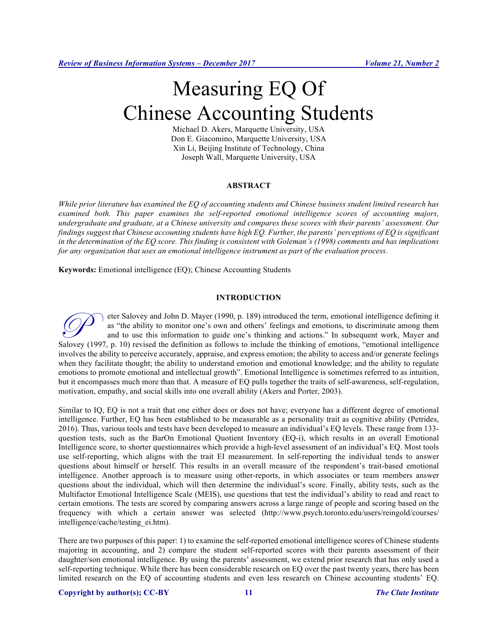# Measuring EQ Of Chinese Accounting Students

Michael D. Akers, Marquette University, USA Don E. Giacomino, Marquette University, USA Xin Li, Beijing Institute of Technology, China Joseph Wall, Marquette University, USA

# **ABSTRACT**

*While prior literature has examined the EQ of accounting students and Chinese business student limited research has examined both. This paper examines the self-reported emotional intelligence scores of accounting majors, undergraduate and graduate, at a Chinese university and compares these scores with their parents' assessment. Our findings suggest that Chinese accounting students have high EQ. Further, the parents' perceptions of EQ is significant in the determination of the EQ score. This finding is consistent with Goleman's (1998) comments and has implications for any organization that uses an emotional intelligence instrument as part of the evaluation process.* 

**Keywords:** Emotional intelligence (EQ); Chinese Accounting Students

# **INTRODUCTION**

eter Salovey and John D. Mayer (1990, p. 189) introduced the term, emotional intelligence defining it as "the ability to monitor one's own and others' feelings and emotions, to discriminate among them and to use this information to guide one's thinking and actions." In subsequent work, Mayer and Salovey and John D. Mayer (1990, p. 189) introduced the term, emotional intelligence defining it as "the ability to monitor one's own and others' feelings and emotions, to discriminate among them and to use this informatio involves the ability to perceive accurately, appraise, and express emotion; the ability to access and/or generate feelings when they facilitate thought; the ability to understand emotion and emotional knowledge; and the ability to regulate emotions to promote emotional and intellectual growth". Emotional Intelligence is sometimes referred to as intuition, but it encompasses much more than that. A measure of EQ pulls together the traits of self-awareness, self-regulation, motivation, empathy, and social skills into one overall ability (Akers and Porter, 2003).

Similar to IQ, EQ is not a trait that one either does or does not have; everyone has a different degree of emotional intelligence. Further, EQ has been established to be measurable as a personality trait as cognitive ability (Petrides, 2016). Thus, various tools and tests have been developed to measure an individual's EQ levels. These range from 133 question tests, such as the BarOn Emotional Quotient Inventory (EQ-i), which results in an overall Emotional Intelligence score, to shorter questionnaires which provide a high-level assessment of an individual's EQ. Most tools use self-reporting, which aligns with the trait EI measurement. In self-reporting the individual tends to answer questions about himself or herself. This results in an overall measure of the respondent's trait-based emotional intelligence. Another approach is to measure using other-reports, in which associates or team members answer questions about the individual, which will then determine the individual's score. Finally, ability tests, such as the Multifactor Emotional Intelligence Scale (MEIS), use questions that test the individual's ability to read and react to certain emotions. The tests are scored by comparing answers across a large range of people and scoring based on the frequency with which a certain answer was selected (http://www.psych.toronto.edu/users/reingold/courses/ intelligence/cache/testing\_ei.htm).

There are two purposes of this paper: 1) to examine the self-reported emotional intelligence scores of Chinese students majoring in accounting, and 2) compare the student self-reported scores with their parents assessment of their daughter/son emotional intelligence. By using the parents' assessment, we extend prior research that has only used a self-reporting technique. While there has been considerable research on EQ over the past twenty years, there has been limited research on the EQ of accounting students and even less research on Chinese accounting students' EQ.

# **Copyright by author(s); CC-BY 11** *The Clute Institute*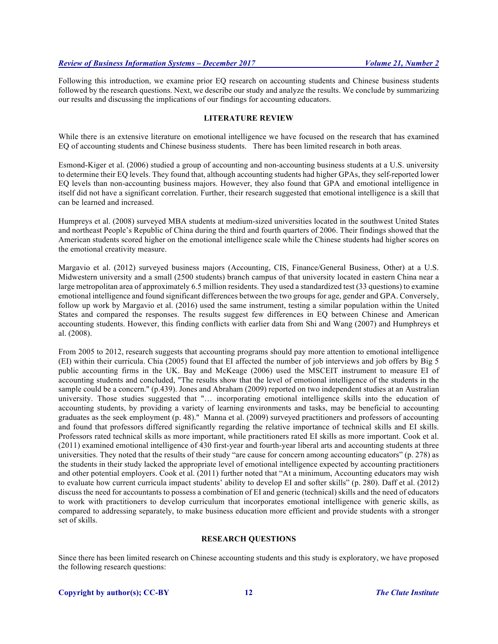Following this introduction, we examine prior EQ research on accounting students and Chinese business students followed by the research questions. Next, we describe our study and analyze the results. We conclude by summarizing our results and discussing the implications of our findings for accounting educators.

# **LITERATURE REVIEW**

While there is an extensive literature on emotional intelligence we have focused on the research that has examined EQ of accounting students and Chinese business students. There has been limited research in both areas.

Esmond-Kiger et al. (2006) studied a group of accounting and non-accounting business students at a U.S. university to determine their EQ levels. They found that, although accounting students had higher GPAs, they self-reported lower EQ levels than non-accounting business majors. However, they also found that GPA and emotional intelligence in itself did not have a significant correlation. Further, their research suggested that emotional intelligence is a skill that can be learned and increased.

Humpreys et al. (2008) surveyed MBA students at medium-sized universities located in the southwest United States and northeast People's Republic of China during the third and fourth quarters of 2006. Their findings showed that the American students scored higher on the emotional intelligence scale while the Chinese students had higher scores on the emotional creativity measure.

Margavio et al. (2012) surveyed business majors (Accounting, CIS, Finance/General Business, Other) at a U.S. Midwestern university and a small (2500 students) branch campus of that university located in eastern China near a large metropolitan area of approximately 6.5 million residents. They used a standardized test (33 questions) to examine emotional intelligence and found significant differences between the two groups for age, gender and GPA. Conversely, follow up work by Margavio et al. (2016) used the same instrument, testing a similar population within the United States and compared the responses. The results suggest few differences in EQ between Chinese and American accounting students. However, this finding conflicts with earlier data from Shi and Wang (2007) and Humphreys et al. (2008).

From 2005 to 2012, research suggests that accounting programs should pay more attention to emotional intelligence (EI) within their curricula. Chia (2005) found that EI affected the number of job interviews and job offers by Big 5 public accounting firms in the UK. Bay and McKeage (2006) used the MSCEIT instrument to measure EI of accounting students and concluded, "The results show that the level of emotional intelligence of the students in the sample could be a concern." (p.439). Jones and Abraham (2009) reported on two independent studies at an Australian university. Those studies suggested that "… incorporating emotional intelligence skills into the education of accounting students, by providing a variety of learning environments and tasks, may be beneficial to accounting graduates as the seek employment (p. 48)." Manna et al. (2009) surveyed practitioners and professors of accounting and found that professors differed significantly regarding the relative importance of technical skills and EI skills. Professors rated technical skills as more important, while practitioners rated EI skills as more important. Cook et al. (2011) examined emotional intelligence of 430 first-year and fourth-year liberal arts and accounting students at three universities. They noted that the results of their study "are cause for concern among accounting educators" (p. 278) as the students in their study lacked the appropriate level of emotional intelligence expected by accounting practitioners and other potential employers. Cook et al. (2011) further noted that "At a minimum, Accounting educators may wish to evaluate how current curricula impact students' ability to develop EI and softer skills" (p. 280). Daff et al. (2012) discuss the need for accountants to possess a combination of EI and generic (technical) skills and the need of educators to work with practitioners to develop curriculum that incorporates emotional intelligence with generic skills, as compared to addressing separately, to make business education more efficient and provide students with a stronger set of skills.

# **RESEARCH QUESTIONS**

Since there has been limited research on Chinese accounting students and this study is exploratory, we have proposed the following research questions: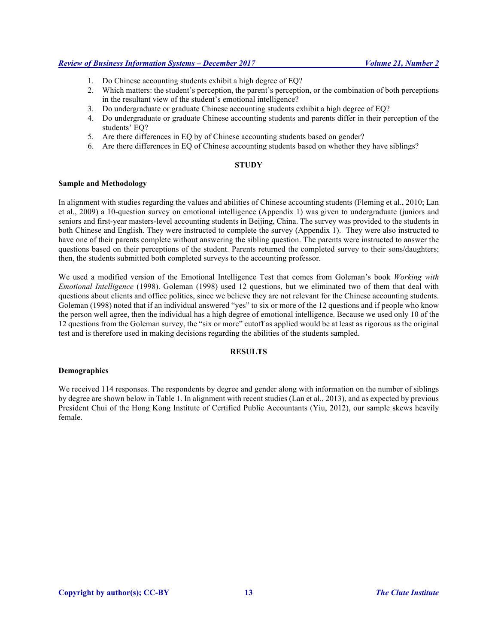- 1. Do Chinese accounting students exhibit a high degree of EQ?
- 2. Which matters: the student's perception, the parent's perception, or the combination of both perceptions in the resultant view of the student's emotional intelligence?
- 3. Do undergraduate or graduate Chinese accounting students exhibit a high degree of EQ?
- 4. Do undergraduate or graduate Chinese accounting students and parents differ in their perception of the students' EQ?
- 5. Are there differences in EQ by of Chinese accounting students based on gender?
- 6. Are there differences in EQ of Chinese accounting students based on whether they have siblings?

# **STUDY**

# **Sample and Methodology**

In alignment with studies regarding the values and abilities of Chinese accounting students (Fleming et al., 2010; Lan et al., 2009) a 10-question survey on emotional intelligence (Appendix 1) was given to undergraduate (juniors and seniors and first-year masters-level accounting students in Beijing, China. The survey was provided to the students in both Chinese and English. They were instructed to complete the survey (Appendix 1). They were also instructed to have one of their parents complete without answering the sibling question. The parents were instructed to answer the questions based on their perceptions of the student. Parents returned the completed survey to their sons/daughters; then, the students submitted both completed surveys to the accounting professor.

We used a modified version of the Emotional Intelligence Test that comes from Goleman's book *Working with Emotional Intelligence* (1998). Goleman (1998) used 12 questions, but we eliminated two of them that deal with questions about clients and office politics, since we believe they are not relevant for the Chinese accounting students. Goleman (1998) noted that if an individual answered "yes" to six or more of the 12 questions and if people who know the person well agree, then the individual has a high degree of emotional intelligence. Because we used only 10 of the 12 questions from the Goleman survey, the "six or more" cutoff as applied would be at least as rigorous as the original test and is therefore used in making decisions regarding the abilities of the students sampled.

# **RESULTS**

# **Demographics**

We received 114 responses. The respondents by degree and gender along with information on the number of siblings by degree are shown below in Table 1. In alignment with recent studies (Lan et al., 2013), and as expected by previous President Chui of the Hong Kong Institute of Certified Public Accountants (Yiu, 2012), our sample skews heavily female.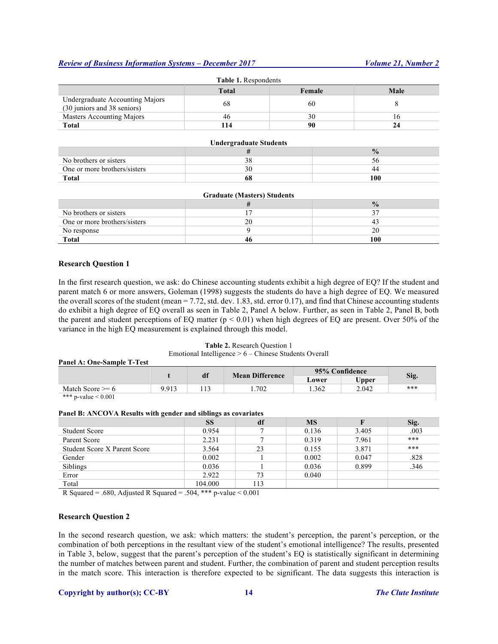| <b>Table 1.</b> Respondents                                    |              |        |      |  |
|----------------------------------------------------------------|--------------|--------|------|--|
|                                                                | <b>Total</b> | Female | Male |  |
| Undergraduate Accounting Majors<br>(30 juniors and 38 seniors) | 68           | 60     |      |  |
| Masters Accounting Majors                                      | 46           | 30     | 16   |  |
| <b>Total</b>                                                   | 114          | 90     | 24   |  |
|                                                                |              |        |      |  |

# **Undergraduate Students**

| No brothers or sisters       |    |     |
|------------------------------|----|-----|
| One or more brothers/sisters |    |     |
| <b>Total</b>                 | 68 | 100 |

| <b>Graduate (Masters) Students</b> |    |               |  |  |
|------------------------------------|----|---------------|--|--|
|                                    |    | $\frac{0}{2}$ |  |  |
| No brothers or sisters             |    | 37            |  |  |
| One or more brothers/sisters       | 20 |               |  |  |
| No response                        |    | 20            |  |  |
| <b>Total</b>                       |    | 100           |  |  |

# **Research Question 1**

In the first research question, we ask: do Chinese accounting students exhibit a high degree of EQ? If the student and parent match 6 or more answers, Goleman (1998) suggests the students do have a high degree of EQ. We measured the overall scores of the student (mean  $= 7.72$ , std. dev. 1.83, std. error 0.17), and find that Chinese accounting students do exhibit a high degree of EQ overall as seen in Table 2, Panel A below. Further, as seen in Table 2, Panel B, both the parent and student perceptions of EQ matter ( $p < 0.01$ ) when high degrees of EQ are present. Over 50% of the variance in the high EQ measurement is explained through this model.

# **Table 2.** Research Question 1

# Emotional Intelligence > 6 – Chinese Students Overall

#### **Panel A: One-Sample T-Test**

|                          |       |  | df   | <b>Mean Difference</b> | 95% Confidence |      |  |
|--------------------------|-------|--|------|------------------------|----------------|------|--|
|                          |       |  |      | Lower                  | <b>Upper</b>   | Sig. |  |
| Match Score $\geq 6$     | 9.913 |  | .702 | 1.362                  | 2.042          | ***  |  |
| *** p-value $\leq 0.001$ |       |  |      |                        |                |      |  |

#### **Panel B: ANCOVA Results with gender and siblings as covariates**

|                                     | <b>SS</b> | df   | <b>MS</b> | F     | Sig. |
|-------------------------------------|-----------|------|-----------|-------|------|
| <b>Student Score</b>                | 0.954     |      | 0.136     | 3.405 | .003 |
| Parent Score                        | 2.231     |      | 0.319     | 7.961 | ***  |
| <b>Student Score X Parent Score</b> | 3.564     | 23   | 0.155     | 3.871 | ***  |
| Gender                              | 0.002     |      | 0.002     | 0.047 | .828 |
| <b>Siblings</b>                     | 0.036     |      | 0.036     | 0.899 | .346 |
| Error                               | 2.922     | 73   | 0.040     |       |      |
| Total                               | 104.000   | l 13 |           |       |      |

R Squared = .680, Adjusted R Squared = .504, \*\*\* p-value  $< 0.001$ 

### **Research Question 2**

In the second research question, we ask: which matters: the student's perception, the parent's perception, or the combination of both perceptions in the resultant view of the student's emotional intelligence? The results, presented in Table 3, below, suggest that the parent's perception of the student's EQ is statistically significant in determining the number of matches between parent and student. Further, the combination of parent and student perception results in the match score. This interaction is therefore expected to be significant. The data suggests this interaction is

# **Copyright by author(s); CC-BY 14** *The Clute Institute*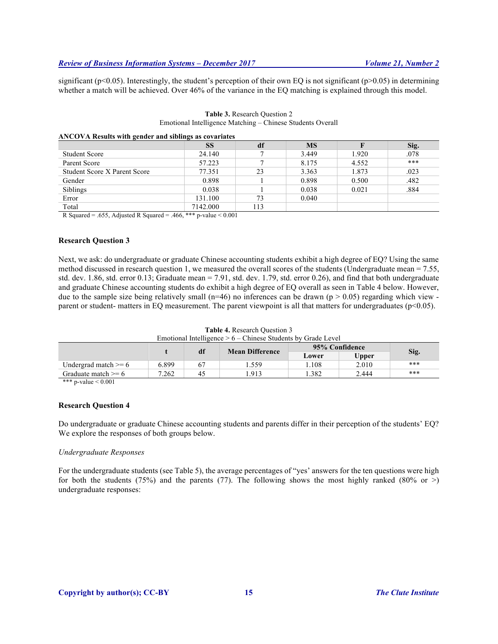significant ( $p<0.05$ ). Interestingly, the student's perception of their own EQ is not significant ( $p>0.05$ ) in determining whether a match will be achieved. Over 46% of the variance in the EQ matching is explained through this model.

| ANCOVA Results with gender and siblings as covariates |           |     |           |       |      |
|-------------------------------------------------------|-----------|-----|-----------|-------|------|
|                                                       | <b>SS</b> | df  | <b>MS</b> |       | Sig. |
| <b>Student Score</b>                                  | 24.140    |     | 3.449     | 1.920 | .078 |
| Parent Score                                          | 57.223    |     | 8.175     | 4.552 | ***  |
| <b>Student Score X Parent Score</b>                   | 77.351    | 23  | 3.363     | 1.873 | .023 |
| Gender                                                | 0.898     |     | 0.898     | 0.500 | .482 |
| Siblings                                              | 0.038     |     | 0.038     | 0.021 | .884 |
| Error                                                 | 131.100   | 73  | 0.040     |       |      |
| Total                                                 | 7142.000  | 113 |           |       |      |

# **Table 3.** Research Question 2 Emotional Intelligence Matching – Chinese Students Overall

R Squared = .655, Adjusted R Squared = .466, \*\*\* p-value < 0.001

# **Research Question 3**

Next, we ask: do undergraduate or graduate Chinese accounting students exhibit a high degree of EQ? Using the same method discussed in research question 1, we measured the overall scores of the students (Undergraduate mean = 7.55, std. dev. 1.86, std. error 0.13; Graduate mean = 7.91, std. dev. 1.79, std. error 0.26), and find that both undergraduate and graduate Chinese accounting students do exhibit a high degree of EQ overall as seen in Table 4 below. However, due to the sample size being relatively small ( $n=46$ ) no inferences can be drawn ( $p > 0.05$ ) regarding which view parent or student- matters in EQ measurement. The parent viewpoint is all that matters for undergraduates (p<0.05).

# **Table 4.** Research Question 3

| Emotional Intelligence $> 6$ – Chinese Students by Grade Level |  |  |
|----------------------------------------------------------------|--|--|
|----------------------------------------------------------------|--|--|

|                          |       | df | <b>Mean Difference</b> | 95% Confidence |              |      |
|--------------------------|-------|----|------------------------|----------------|--------------|------|
|                          |       |    |                        | Lower          | <b>Upper</b> | Sig. |
| Undergrad match $\geq 6$ | 6.899 | 67 | . . 559                | .108           | 2.010        | ***  |
| Graduate match >= 6      | 7.262 | 45 | .913                   | .382           | 2.444        | ***  |

\*\*\* p-value < 0.001

### **Research Question 4**

Do undergraduate or graduate Chinese accounting students and parents differ in their perception of the students' EQ? We explore the responses of both groups below.

### *Undergraduate Responses*

For the undergraduate students (see Table 5), the average percentages of "yes' answers for the ten questions were high for both the students (75%) and the parents (77). The following shows the most highly ranked (80% or  $>$ ) undergraduate responses: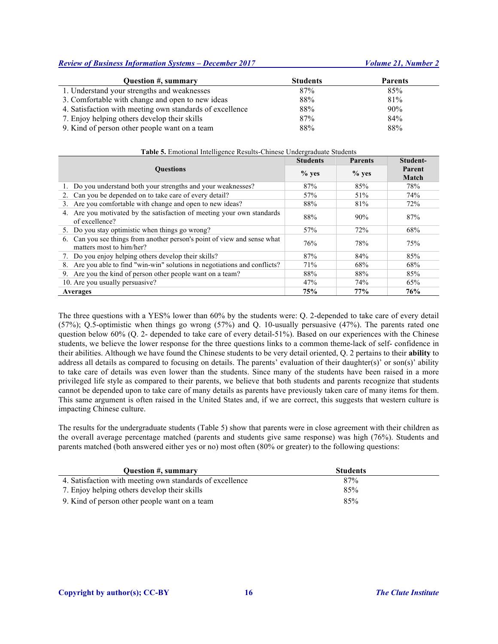| Question #, summary                                      | <b>Students</b> | <b>Parents</b> |
|----------------------------------------------------------|-----------------|----------------|
| 1. Understand your strengths and weaknesses              | 87%             | 85%            |
| 3. Comfortable with change and open to new ideas         | 88%             | 81%            |
| 4. Satisfaction with meeting own standards of excellence | 88%             | 90%            |
| 7. Enjoy helping others develop their skills             | 87%             | 84%            |
| 9. Kind of person other people want on a team            | 88%             | 88%            |

| Table 5. Emotional Intelligence Results-Chinese Undergraduate Students                                  |                 |                |                 |  |  |
|---------------------------------------------------------------------------------------------------------|-----------------|----------------|-----------------|--|--|
|                                                                                                         | <b>Students</b> | <b>Parents</b> | Student-        |  |  |
| <b>Ouestions</b>                                                                                        | $%$ yes         | $%$ yes        | Parent<br>Match |  |  |
| 1. Do you understand both your strengths and your weaknesses?                                           | 87%             | 85%            | 78%             |  |  |
| Can you be depended on to take care of every detail?<br>2.                                              | 57%             | 51%            | 74%             |  |  |
| 3. Are you comfortable with change and open to new ideas?                                               | 88%             | 81%            | 72%             |  |  |
| 4. Are you motivated by the satisfaction of meeting your own standards<br>of excellence?                | 88%             | 90%            | 87%             |  |  |
| 5. Do you stay optimistic when things go wrong?                                                         | 57%             | 72%            | 68%             |  |  |
| Can you see things from another person's point of view and sense what<br>6.<br>matters most to him/her? | 76%             | 78%            | 75%             |  |  |
| 7. Do you enjoy helping others develop their skills?                                                    | 87%             | 84%            | 85%             |  |  |
| Are you able to find "win-win" solutions in negotiations and conflicts?<br>8.                           | 71%             | 68%            | 68%             |  |  |
| Are you the kind of person other people want on a team?<br>9.                                           | 88%             | 88%            | 85%             |  |  |
| 10. Are you usually persuasive?                                                                         | 47%             | 74%            | 65%             |  |  |
| Averages                                                                                                | 75%             | 77%            | 76%             |  |  |

The three questions with a YES% lower than 60% by the students were: Q. 2-depended to take care of every detail (57%); Q.5-optimistic when things go wrong (57%) and Q. 10-usually persuasive (47%). The parents rated one question below 60% (Q. 2- depended to take care of every detail-51%). Based on our experiences with the Chinese students, we believe the lower response for the three questions links to a common theme-lack of self- confidence in their abilities. Although we have found the Chinese students to be very detail oriented, Q. 2 pertains to their **ability** to address all details as compared to focusing on details. The parents' evaluation of their daughter(s)' or son(s)' ability to take care of details was even lower than the students. Since many of the students have been raised in a more privileged life style as compared to their parents, we believe that both students and parents recognize that students cannot be depended upon to take care of many details as parents have previously taken care of many items for them. This same argument is often raised in the United States and, if we are correct, this suggests that western culture is impacting Chinese culture.

The results for the undergraduate students (Table 5) show that parents were in close agreement with their children as the overall average percentage matched (parents and students give same response) was high (76%). Students and parents matched (both answered either yes or no) most often (80% or greater) to the following questions:

| Question #, summary                                      | <b>Students</b> |
|----------------------------------------------------------|-----------------|
| 4. Satisfaction with meeting own standards of excellence | 87%             |
| 7. Enjoy helping others develop their skills             | 85%             |
| 9. Kind of person other people want on a team            | 85%             |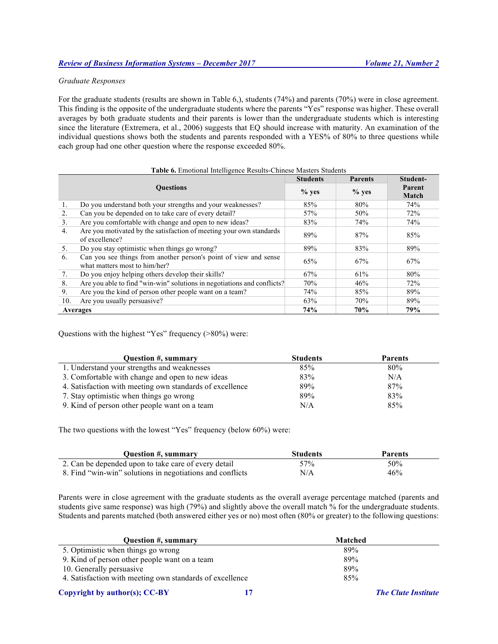# *Graduate Responses*

For the graduate students (results are shown in Table 6,), students (74%) and parents (70%) were in close agreement. This finding is the opposite of the undergraduate students where the parents "Yes" response was higher. These overall averages by both graduate students and their parents is lower than the undergraduate students which is interesting since the literature (Extremera, et al., 2006) suggests that EQ should increase with maturity. An examination of the individual questions shows both the students and parents responded with a YES% of 80% to three questions while each group had one other question where the response exceeded 80%.

|                  | Table 6. Emotional Intelligence Results-Chinese Masters Students                                  |                 |                |                        |  |
|------------------|---------------------------------------------------------------------------------------------------|-----------------|----------------|------------------------|--|
|                  |                                                                                                   | <b>Students</b> | <b>Parents</b> | Student-               |  |
| <b>Ouestions</b> |                                                                                                   | $%$ yes         | $%$ yes        | Parent<br><b>Match</b> |  |
| 1.               | Do you understand both your strengths and your weaknesses?                                        | 85%             | 80%            | 74%                    |  |
| 2.               | Can you be depended on to take care of every detail?                                              | 57%             | 50%            | 72%                    |  |
| 3.               | Are you comfortable with change and open to new ideas?                                            | 83%             | 74%            | 74%                    |  |
| 4.               | Are you motivated by the satisfaction of meeting your own standards<br>of excellence?             | 89%             | 87%            | 85%                    |  |
| 5.               | Do you stay optimistic when things go wrong?                                                      | 89%             | 83%            | 89%                    |  |
| 6.               | Can you see things from another person's point of view and sense<br>what matters most to him/her? | 65%             | 67%            | 67%                    |  |
| 7.               | Do you enjoy helping others develop their skills?                                                 | 67%             | 61%            | 80%                    |  |
| 8.               | Are you able to find "win-win" solutions in negotiations and conflicts?                           | 70%             | 46%            | 72%                    |  |
| 9.               | Are you the kind of person other people want on a team?                                           | 74%             | 85%            | 89%                    |  |
| 10.              | Are you usually persuasive?                                                                       | 63%             | 70%            | 89%                    |  |
|                  | Averages                                                                                          | 74%             | 70%            | 79%                    |  |

Questions with the highest "Yes" frequency (>80%) were:

| <b>Ouestion #, summary</b>                               | <b>Students</b> | <b>Parents</b> |
|----------------------------------------------------------|-----------------|----------------|
| 1. Understand your strengths and weaknesses              | 85%             | 80%            |
| 3. Comfortable with change and open to new ideas         | 83%             | N/A            |
| 4. Satisfaction with meeting own standards of excellence | 89%             | 87%            |
| 7. Stay optimistic when things go wrong                  | 89%             | 83%            |
| 9. Kind of person other people want on a team            | N/A             | 85%            |

The two questions with the lowest "Yes" frequency (below 60%) were:

| Question #, summary                                       | <b>Students</b> | <b>Parents</b> |
|-----------------------------------------------------------|-----------------|----------------|
| 2. Can be depended upon to take care of every detail      | 57 <sub>%</sub> | 50%            |
| 8. Find "win-win" solutions in negotiations and conflicts | N/A             | 46%            |

Parents were in close agreement with the graduate students as the overall average percentage matched (parents and students give same response) was high (79%) and slightly above the overall match % for the undergraduate students. Students and parents matched (both answered either yes or no) most often (80% or greater) to the following questions:

| Question #, summary                                      | <b>Matched</b> |
|----------------------------------------------------------|----------------|
| 5. Optimistic when things go wrong                       | 89%            |
| 9. Kind of person other people want on a team            | 89%            |
| 10. Generally persuasive                                 | 89%            |
| 4. Satisfaction with meeting own standards of excellence | 85%            |

# **Copyright by author(s); CC-BY 17** *The Clute Institute*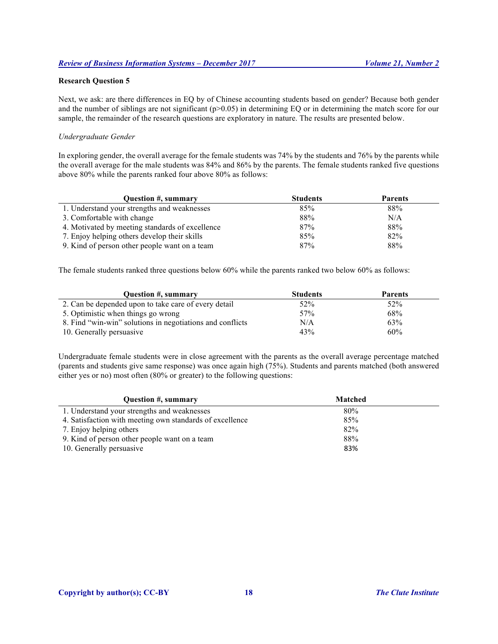# **Research Question 5**

Next, we ask: are there differences in EQ by of Chinese accounting students based on gender? Because both gender and the number of siblings are not significant  $(p>0.05)$  in determining EQ or in determining the match score for our sample, the remainder of the research questions are exploratory in nature. The results are presented below.

# *Undergraduate Gender*

In exploring gender, the overall average for the female students was 74% by the students and 76% by the parents while the overall average for the male students was 84% and 86% by the parents. The female students ranked five questions above 80% while the parents ranked four above 80% as follows:

| Question #, summary                             | <b>Students</b> | <b>Parents</b> |
|-------------------------------------------------|-----------------|----------------|
| 1. Understand your strengths and weaknesses     | 85%             | 88%            |
| 3. Comfortable with change                      | 88%             | N/A            |
| 4. Motivated by meeting standards of excellence | 87%             | 88%            |
| 7. Enjoy helping others develop their skills    | 85%             | 82%            |
| 9. Kind of person other people want on a team   | 87%             | 88%            |

The female students ranked three questions below 60% while the parents ranked two below 60% as follows:

| <b>Ouestion #, summary</b>                                | <b>Students</b> | <b>Parents</b> |
|-----------------------------------------------------------|-----------------|----------------|
| 2. Can be depended upon to take care of every detail      | 52%             | 52%            |
| 5. Optimistic when things go wrong                        | 57%             | 68%            |
| 8. Find "win-win" solutions in negotiations and conflicts | N/A             | 63%            |
| 10. Generally persuasive                                  | 43%             | 60%            |

Undergraduate female students were in close agreement with the parents as the overall average percentage matched (parents and students give same response) was once again high (75%). Students and parents matched (both answered either yes or no) most often (80% or greater) to the following questions:

| Question #, summary                                      | <b>Matched</b> |  |
|----------------------------------------------------------|----------------|--|
| 1. Understand your strengths and weaknesses              | 80%            |  |
| 4. Satisfaction with meeting own standards of excellence | 85%            |  |
| 7. Enjoy helping others                                  | 82%            |  |
| 9. Kind of person other people want on a team            | 88%            |  |
| 10. Generally persuasive                                 | 83%            |  |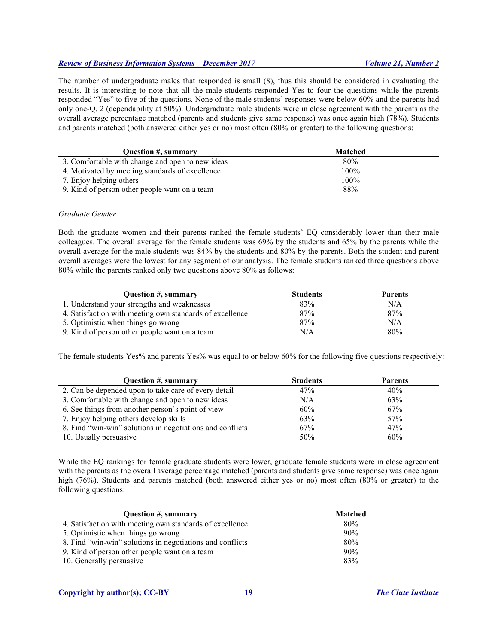The number of undergraduate males that responded is small (8), thus this should be considered in evaluating the results. It is interesting to note that all the male students responded Yes to four the questions while the parents responded "Yes" to five of the questions. None of the male students' responses were below 60% and the parents had only one-Q. 2 (dependability at 50%). Undergraduate male students were in close agreement with the parents as the overall average percentage matched (parents and students give same response) was once again high (78%). Students and parents matched (both answered either yes or no) most often (80% or greater) to the following questions:

| Question #, summary                              | <b>Matched</b> |  |
|--------------------------------------------------|----------------|--|
| 3. Comfortable with change and open to new ideas | 80%            |  |
| 4. Motivated by meeting standards of excellence  | $100\%$        |  |
| 7. Enjoy helping others                          | $100\%$        |  |
| 9. Kind of person other people want on a team    | 88%            |  |

# *Graduate Gender*

Both the graduate women and their parents ranked the female students' EQ considerably lower than their male colleagues. The overall average for the female students was 69% by the students and 65% by the parents while the overall average for the male students was 84% by the students and 80% by the parents. Both the student and parent overall averages were the lowest for any segment of our analysis. The female students ranked three questions above 80% while the parents ranked only two questions above 80% as follows:

| <b>Ouestion #, summary</b>                               | <b>Students</b> | <b>Parents</b> |
|----------------------------------------------------------|-----------------|----------------|
| 1. Understand your strengths and weaknesses              | 83%             | N/A            |
| 4. Satisfaction with meeting own standards of excellence | 87%             | 87%            |
| 5. Optimistic when things go wrong                       | 87%             | N/A            |
| 9. Kind of person other people want on a team            | N/A             | 80%            |

The female students Yes% and parents Yes% was equal to or below 60% for the following five questions respectively:

| Question #, summary                                       | <b>Students</b> | <b>Parents</b> |
|-----------------------------------------------------------|-----------------|----------------|
| 2. Can be depended upon to take care of every detail      | 47%             | 40%            |
| 3. Comfortable with change and open to new ideas          | N/A             | 63%            |
| 6. See things from another person's point of view         | 60%             | 67%            |
| 7. Enjoy helping others develop skills                    | 63%             | 57%            |
| 8. Find "win-win" solutions in negotiations and conflicts | 67%             | 47%            |
| 10. Usually persuasive                                    | 50%             | 60%            |

While the EQ rankings for female graduate students were lower, graduate female students were in close agreement with the parents as the overall average percentage matched (parents and students give same response) was once again high (76%). Students and parents matched (both answered either yes or no) most often (80% or greater) to the following questions:

| <b>Ouestion #, summary</b>                                | <b>Matched</b> |  |
|-----------------------------------------------------------|----------------|--|
| 4. Satisfaction with meeting own standards of excellence  | 80%            |  |
| 5. Optimistic when things go wrong                        | 90%            |  |
| 8. Find "win-win" solutions in negotiations and conflicts | 80%            |  |
| 9. Kind of person other people want on a team             | 90%            |  |
| 10. Generally persuasive                                  | 83%            |  |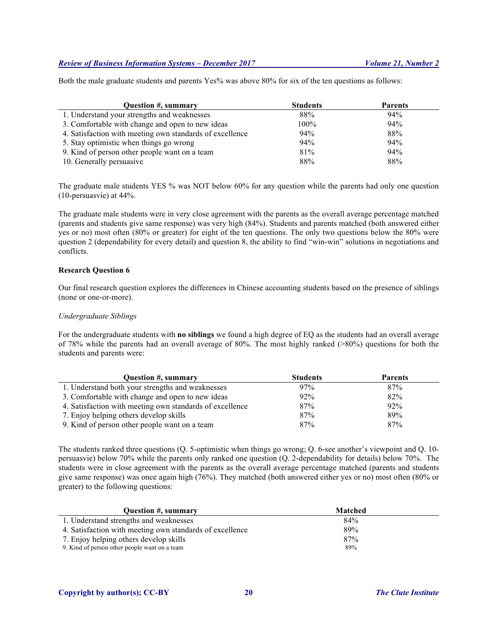Both the male graduate students and parents Yes% was above 80% for six of the ten questions as follows:

| <b>Ouestion #, summary</b>                               | <b>Students</b> | <b>Parents</b> |
|----------------------------------------------------------|-----------------|----------------|
| 1. Understand your strengths and weaknesses              | 88%             | 94%            |
| 3. Comfortable with change and open to new ideas         | 100%            | 94%            |
| 4. Satisfaction with meeting own standards of excellence | 94%             | 88%            |
| 5. Stay optimistic when things go wrong                  | 94%             | 94%            |
| 9. Kind of person other people want on a team            | 81%             | 94%            |
| 10. Generally persuasive                                 | 88%             | 88%            |

The graduate male students YES % was NOT below 60% for any question while the parents had only one question (10-persuasvie) at 44%.

The graduate male students were in very close agreement with the parents as the overall average percentage matched (parents and students give same response) was very high (84%). Students and parents matched (both answered either yes or no) most often (80% or greater) for eight of the ten questions. The only two questions below the 80% were question 2 (dependability for every detail) and question 8, the ability to find "win-win" solutions in negotiations and conflicts.

# **Research Question 6**

Our final research question explores the differences in Chinese accounting students based on the presence of siblings (none or one-or-more).

# *Undergraduate Siblings*

For the undergraduate students with **no siblings** we found a high degree of EQ as the students had an overall average of 78% while the parents had an overall average of 80%. The most highly ranked (>80%) questions for both the students and parents were:

| <b>Ouestion #, summary</b>                               | <b>Students</b> | <b>Parents</b> |
|----------------------------------------------------------|-----------------|----------------|
| 1. Understand both your strengths and weaknesses         | 97%             | 87%            |
| 3. Comfortable with change and open to new ideas         | 92%             | 82%            |
| 4. Satisfaction with meeting own standards of excellence | 87%             | 92%            |
| 7. Enjoy helping others develop skills                   | 87%             | 89%            |
| 9. Kind of person other people want on a team            | 87%             | 87%            |

The students ranked three questions (Q. 5-optimistic when things go wrong; Q. 6-see another's viewpoint and Q. 10 persuasvie) below 70% while the parents only ranked one question (Q. 2-dependability for details) below 70%. The students were in close agreement with the parents as the overall average percentage matched (parents and students give same response) was once again high (76%). They matched (both answered either yes or no) most often (80% or greater) to the following questions:

| Question #, summary                                      | <b>Matched</b> |
|----------------------------------------------------------|----------------|
| 1. Understand strengths and weaknesses                   | 84%            |
| 4. Satisfaction with meeting own standards of excellence | 89%            |
| 7. Enjoy helping others develop skills                   | 87%            |
| 9. Kind of person other people want on a team            | 89%            |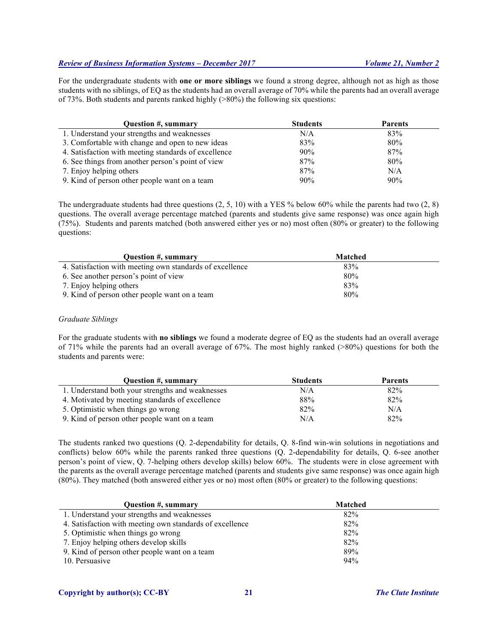For the undergraduate students with **one or more siblings** we found a strong degree, although not as high as those students with no siblings, of EQ as the students had an overall average of 70% while the parents had an overall average of 73%. Both students and parents ranked highly (>80%) the following six questions:

| <b>Ouestion #, summary</b>                           | <b>Students</b> | <b>Parents</b> |
|------------------------------------------------------|-----------------|----------------|
| 1. Understand your strengths and weaknesses          | N/A             | 83%            |
| 3. Comfortable with change and open to new ideas     | 83%             | 80%            |
| 4. Satisfaction with meeting standards of excellence | 90%             | 87%            |
| 6. See things from another person's point of view    | 87%             | 80%            |
| 7. Enjoy helping others                              | 87%             | N/A            |
| 9. Kind of person other people want on a team        | 90%             | 90%            |

The undergraduate students had three questions  $(2, 5, 10)$  with a YES % below 60% while the parents had two  $(2, 8)$ questions. The overall average percentage matched (parents and students give same response) was once again high (75%). Students and parents matched (both answered either yes or no) most often (80% or greater) to the following questions:

| Question #, summary                                      | Matched |  |
|----------------------------------------------------------|---------|--|
| 4. Satisfaction with meeting own standards of excellence | 83%     |  |
| 6. See another person's point of view                    | 80%     |  |
| 7. Enjoy helping others                                  | 83%     |  |
| 9. Kind of person other people want on a team            | 80%     |  |

# *Graduate Siblings*

For the graduate students with **no siblings** we found a moderate degree of EQ as the students had an overall average of 71% while the parents had an overall average of 67%. The most highly ranked (>80%) questions for both the students and parents were:

| Question #, summary                              | <b>Students</b> | <b>Parents</b> |
|--------------------------------------------------|-----------------|----------------|
| 1. Understand both your strengths and weaknesses | N/A             | 82%            |
| 4. Motivated by meeting standards of excellence  | 88%             | 82%            |
| 5. Optimistic when things go wrong               | 82%             | N/A            |
| 9. Kind of person other people want on a team    | N/A             | 82%            |

The students ranked two questions (Q. 2-dependability for details, Q. 8-find win-win solutions in negotiations and conflicts) below 60% while the parents ranked three questions (Q. 2-dependability for details, Q. 6-see another person's point of view, Q. 7-helping others develop skills) below 60%. The students were in close agreement with the parents as the overall average percentage matched (parents and students give same response) was once again high (80%). They matched (both answered either yes or no) most often (80% or greater) to the following questions:

| Question #, summary                                      | <b>Matched</b> |
|----------------------------------------------------------|----------------|
| 1. Understand your strengths and weaknesses              | 82%            |
| 4. Satisfaction with meeting own standards of excellence | 82%            |
| 5. Optimistic when things go wrong                       | 82%            |
| 7. Enjoy helping others develop skills                   | 82%            |
| 9. Kind of person other people want on a team            | 89%            |
| 10. Persuasive                                           | 94%            |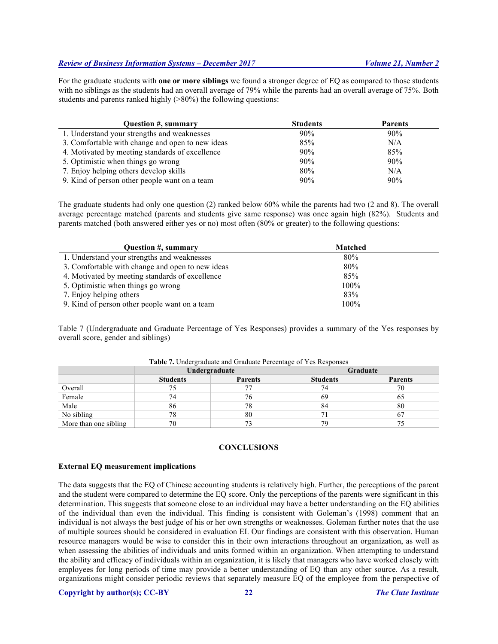For the graduate students with **one or more siblings** we found a stronger degree of EQ as compared to those students with no siblings as the students had an overall average of 79% while the parents had an overall average of 75%. Both students and parents ranked highly (>80%) the following questions:

| Question #, summary                              | <b>Students</b> | <b>Parents</b> |
|--------------------------------------------------|-----------------|----------------|
| 1. Understand your strengths and weaknesses      | 90%             | 90%            |
| 3. Comfortable with change and open to new ideas | 85%             | N/A            |
| 4. Motivated by meeting standards of excellence  | 90%             | 85%            |
| 5. Optimistic when things go wrong               | 90%             | 90%            |
| 7. Enjoy helping others develop skills           | 80%             | N/A            |
| 9. Kind of person other people want on a team    | 90%             | 90%            |

The graduate students had only one question (2) ranked below 60% while the parents had two (2 and 8). The overall average percentage matched (parents and students give same response) was once again high (82%). Students and parents matched (both answered either yes or no) most often (80% or greater) to the following questions:

| Question #, summary                              | <b>Matched</b> |  |
|--------------------------------------------------|----------------|--|
| 1. Understand your strengths and weaknesses      | 80%            |  |
| 3. Comfortable with change and open to new ideas | 80%            |  |
| 4. Motivated by meeting standards of excellence  | 85%            |  |
| 5. Optimistic when things go wrong               | $100\%$        |  |
| 7. Enjoy helping others                          | 83%            |  |
| 9. Kind of person other people want on a team    | $100\%$        |  |

Table 7 (Undergraduate and Graduate Percentage of Yes Responses) provides a summary of the Yes responses by overall score, gender and siblings)

|                       | Undergraduate   |                | Graduate        |                |
|-----------------------|-----------------|----------------|-----------------|----------------|
|                       | <b>Students</b> | <b>Parents</b> | <b>Students</b> | <b>Parents</b> |
| Overall               | 75              |                | 74              | 70             |
| Female                | 74              | 76             | 69              | OJ             |
| Male                  | 86              | 78             | 84              | 80             |
| No sibling            | 78              | 80             |                 |                |
| More than one sibling | 70              |                | 79              |                |

**Table 7.** Undergraduate and Graduate Percentage of Yes Responses

# **CONCLUSIONS**

# **External EQ measurement implications**

The data suggests that the EQ of Chinese accounting students is relatively high. Further, the perceptions of the parent and the student were compared to determine the EQ score. Only the perceptions of the parents were significant in this determination. This suggests that someone close to an individual may have a better understanding on the EQ abilities of the individual than even the individual. This finding is consistent with Goleman's (1998) comment that an individual is not always the best judge of his or her own strengths or weaknesses. Goleman further notes that the use of multiple sources should be considered in evaluation EI. Our findings are consistent with this observation. Human resource managers would be wise to consider this in their own interactions throughout an organization, as well as when assessing the abilities of individuals and units formed within an organization. When attempting to understand the ability and efficacy of individuals within an organization, it is likely that managers who have worked closely with employees for long periods of time may provide a better understanding of EQ than any other source. As a result, organizations might consider periodic reviews that separately measure EQ of the employee from the perspective of

# **Copyright by author(s); CC-BY 22** *The Clute Institute*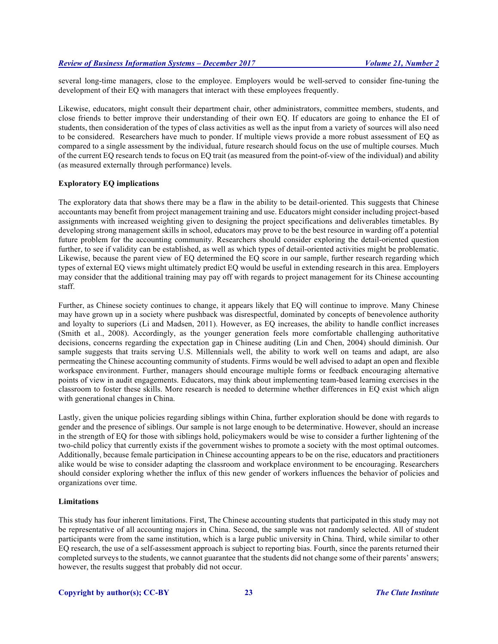several long-time managers, close to the employee. Employers would be well-served to consider fine-tuning the development of their EQ with managers that interact with these employees frequently.

Likewise, educators, might consult their department chair, other administrators, committee members, students, and close friends to better improve their understanding of their own EQ. If educators are going to enhance the EI of students, then consideration of the types of class activities as well as the input from a variety of sources will also need to be considered. Researchers have much to ponder. If multiple views provide a more robust assessment of EQ as compared to a single assessment by the individual, future research should focus on the use of multiple courses. Much of the current EQ research tends to focus on EQ trait (as measured from the point-of-view of the individual) and ability (as measured externally through performance) levels.

# **Exploratory EQ implications**

The exploratory data that shows there may be a flaw in the ability to be detail-oriented. This suggests that Chinese accountants may benefit from project management training and use. Educators might consider including project-based assignments with increased weighting given to designing the project specifications and deliverables timetables. By developing strong management skills in school, educators may prove to be the best resource in warding off a potential future problem for the accounting community. Researchers should consider exploring the detail-oriented question further, to see if validity can be established, as well as which types of detail-oriented activities might be problematic. Likewise, because the parent view of EQ determined the EQ score in our sample, further research regarding which types of external EQ views might ultimately predict EQ would be useful in extending research in this area. Employers may consider that the additional training may pay off with regards to project management for its Chinese accounting staff.

Further, as Chinese society continues to change, it appears likely that EQ will continue to improve. Many Chinese may have grown up in a society where pushback was disrespectful, dominated by concepts of benevolence authority and loyalty to superiors (Li and Madsen, 2011). However, as EQ increases, the ability to handle conflict increases (Smith et al., 2008). Accordingly, as the younger generation feels more comfortable challenging authoritative decisions, concerns regarding the expectation gap in Chinese auditing (Lin and Chen, 2004) should diminish. Our sample suggests that traits serving U.S. Millennials well, the ability to work well on teams and adapt, are also permeating the Chinese accounting community of students. Firms would be well advised to adapt an open and flexible workspace environment. Further, managers should encourage multiple forms or feedback encouraging alternative points of view in audit engagements. Educators, may think about implementing team-based learning exercises in the classroom to foster these skills. More research is needed to determine whether differences in EQ exist which align with generational changes in China.

Lastly, given the unique policies regarding siblings within China, further exploration should be done with regards to gender and the presence of siblings. Our sample is not large enough to be determinative. However, should an increase in the strength of EQ for those with siblings hold, policymakers would be wise to consider a further lightening of the two-child policy that currently exists if the government wishes to promote a society with the most optimal outcomes. Additionally, because female participation in Chinese accounting appears to be on the rise, educators and practitioners alike would be wise to consider adapting the classroom and workplace environment to be encouraging. Researchers should consider exploring whether the influx of this new gender of workers influences the behavior of policies and organizations over time.

# **Limitations**

This study has four inherent limitations. First, The Chinese accounting students that participated in this study may not be representative of all accounting majors in China. Second, the sample was not randomly selected. All of student participants were from the same institution, which is a large public university in China. Third, while similar to other EQ research, the use of a self-assessment approach is subject to reporting bias. Fourth, since the parents returned their completed surveys to the students, we cannot guarantee that the students did not change some of their parents' answers; however, the results suggest that probably did not occur.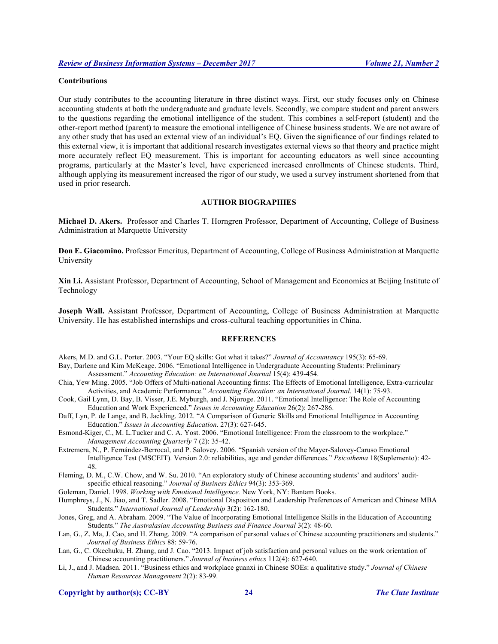# **Contributions**

Our study contributes to the accounting literature in three distinct ways. First, our study focuses only on Chinese accounting students at both the undergraduate and graduate levels. Secondly, we compare student and parent answers to the questions regarding the emotional intelligence of the student. This combines a self-report (student) and the other-report method (parent) to measure the emotional intelligence of Chinese business students. We are not aware of any other study that has used an external view of an individual's EQ. Given the significance of our findings related to this external view, it is important that additional research investigates external views so that theory and practice might more accurately reflect EQ measurement. This is important for accounting educators as well since accounting programs, particularly at the Master's level, have experienced increased enrollments of Chinese students. Third, although applying its measurement increased the rigor of our study, we used a survey instrument shortened from that used in prior research.

# **AUTHOR BIOGRAPHIES**

**Michael D. Akers.** Professor and Charles T. Horngren Professor, Department of Accounting, College of Business Administration at Marquette University

**Don E. Giacomino.** Professor Emeritus, Department of Accounting, College of Business Administration at Marquette University

**Xin Li.** Assistant Professor, Department of Accounting, School of Management and Economics at Beijing Institute of Technology

**Joseph Wall.** Assistant Professor, Department of Accounting, College of Business Administration at Marquette University. He has established internships and cross-cultural teaching opportunities in China.

# **REFERENCES**

Akers, M.D. and G.L. Porter. 2003. "Your EQ skills: Got what it takes?" *Journal of Accountancy* 195(3): 65-69.

- Bay, Darlene and Kim McKeage. 2006. "Emotional Intelligence in Undergraduate Accounting Students: Preliminary Assessment." *Accounting Education: an International Journal* 15(4): 439-454.
- Chia, Yew Ming. 2005. "Job Offers of Multi-national Accounting firms: The Effects of Emotional Intelligence, Extra-curricular Activities, and Academic Performance." *Accounting Education: an International Journal*. 14(1): 75-93.
- Cook, Gail Lynn, D. Bay, B. Visser, J.E. Myburgh, and J. Njoroge. 2011. "Emotional Intelligence: The Role of Accounting Education and Work Experienced." *Issues in Accounting Education* 26(2): 267-286.
- Daff, Lyn, P. de Lange, and B. Jackling. 2012. "A Comparison of Generic Skills and Emotional Intelligence in Accounting Education." *Issues in Accounting Education*. 27(3): 627-645.
- Esmond-Kiger, C., M. L.Tucker and C. A. Yost. 2006. "Emotional Intelligence: From the classroom to the workplace." *Management Accounting Quarterly* 7 (2): 35-42.
- Extremera, N., P. Fernández-Berrocal, and P. Salovey. 2006. "Spanish version of the Mayer-Salovey-Caruso Emotional Intelligence Test (MSCEIT). Version 2.0: reliabilities, age and gender differences." *Psicothema* 18(Suplemento): 42- 48.
- Fleming, D. M., C.W. Chow, and W. Su. 2010. "An exploratory study of Chinese accounting students' and auditors' auditspecific ethical reasoning." *Journal of Business Ethics* 94(3): 353-369.

Goleman, Daniel. 1998. *Working with Emotional Intelligence.* New York, NY: Bantam Books.

Humphreys, J., N. Jiao, and T. Sadler. 2008. "Emotional Disposition and Leadership Preferences of American and Chinese MBA Students." *International Journal of Leadership* 3(2): 162-180.

Jones, Greg, and A. Abraham. 2009. "The Value of Incorporating Emotional Intelligence Skills in the Education of Accounting Students." *The Australasian Accounting Business and Finance Journal* 3(2): 48-60.

Lan, G., Z. Ma, J. Cao, and H. Zhang. 2009. "A comparison of personal values of Chinese accounting practitioners and students." *Journal of Business Ethics* 88: 59-76.

- Lan, G., C. Okechuku, H. Zhang, and J. Cao. "2013. Impact of job satisfaction and personal values on the work orientation of Chinese accounting practitioners." *Journal of business ethics* 112(4): 627-640.
- Li, J., and J. Madsen. 2011. "Business ethics and workplace guanxi in Chinese SOEs: a qualitative study." *Journal of Chinese Human Resources Management* 2(2): 83-99.

**Copyright by author(s); CC-BY 24** *The Clute Institute*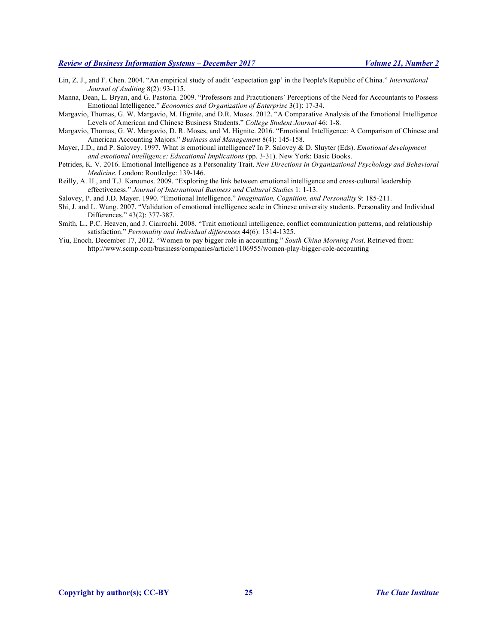- Lin, Z. J., and F. Chen. 2004. "An empirical study of audit 'expectation gap' in the People's Republic of China." *International Journal of Auditing* 8(2): 93-115.
- Manna, Dean, L. Bryan, and G. Pastoria. 2009. "Professors and Practitioners' Perceptions of the Need for Accountants to Possess Emotional Intelligence." *Economics and Organization of Enterprise* 3(1): 17-34.
- Margavio, Thomas, G. W. Margavio, M. Hignite, and D.R. Moses. 2012. "A Comparative Analysis of the Emotional Intelligence Levels of American and Chinese Business Students." *College Student Journal* 46: 1-8.
- Margavio, Thomas, G. W. Margavio, D. R. Moses, and M. Hignite. 2016. "Emotional Intelligence: A Comparison of Chinese and American Accounting Majors." *Business and Management* 8(4): 145-158.
- Mayer, J.D., and P. Salovey. 1997. What is emotional intelligence? In P. Salovey & D. Sluyter (Eds). *Emotional development and emotional intelligence: Educational Implications* (pp. 3-31). New York: Basic Books.
- Petrides, K. V. 2016. Emotional Intelligence as a Personality Trait. *New Directions in Organizational Psychology and Behavioral Medicine*. London: Routledge: 139-146.
- Reilly, A. H., and T.J. Karounos. 2009. "Exploring the link between emotional intelligence and cross-cultural leadership effectiveness." *Journal of International Business and Cultural Studies* 1: 1-13.
- Salovey, P. and J.D. Mayer. 1990. "Emotional Intelligence." *Imagination, Cognition, and Personality* 9: 185-211.
- Shi, J. and L. Wang. 2007. "Validation of emotional intelligence scale in Chinese university students. Personality and Individual Differences." 43(2): 377-387.
- Smith, L., P.C. Heaven, and J. Ciarrochi. 2008. "Trait emotional intelligence, conflict communication patterns, and relationship satisfaction." *Personality and Individual differences* 44(6): 1314-1325.
- Yiu, Enoch. December 17, 2012. "Women to pay bigger role in accounting." *South China Morning Post*. Retrieved from: http://www.scmp.com/business/companies/article/1106955/women-play-bigger-role-accounting